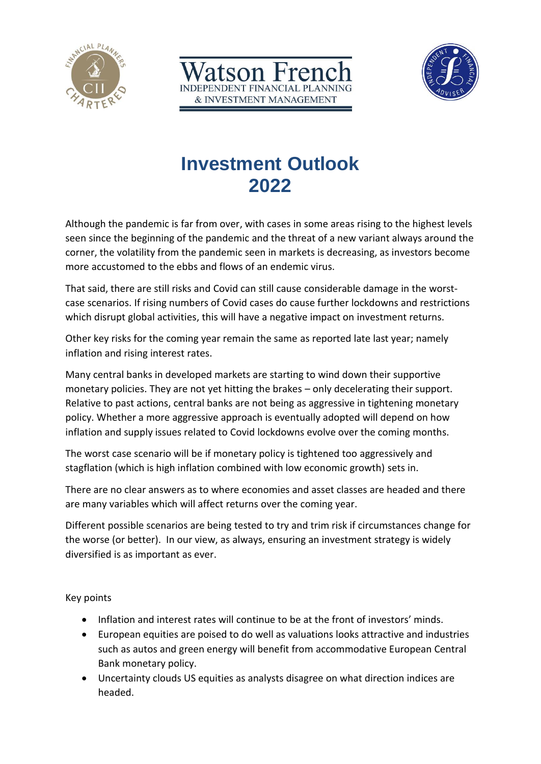



# **Investment Outlook 2022**

atson Fren

**ENDENT FINANCIAL PLANNING** & INVESTMENT MANAGEMENT

Although the pandemic is far from over, with cases in some areas rising to the highest levels seen since the beginning of the pandemic and the threat of a new variant always around the corner, the volatility from the pandemic seen in markets is decreasing, as investors become more accustomed to the ebbs and flows of an endemic virus.

That said, there are still risks and Covid can still cause considerable damage in the worstcase scenarios. If rising numbers of Covid cases do cause further lockdowns and restrictions which disrupt global activities, this will have a negative impact on investment returns.

Other key risks for the coming year remain the same as reported late last year; namely inflation and rising interest rates.

Many central banks in developed markets are starting to wind down their supportive monetary policies. They are not yet hitting the brakes – only decelerating their support. Relative to past actions, central banks are not being as aggressive in tightening monetary policy. Whether a more aggressive approach is eventually adopted will depend on how inflation and supply issues related to Covid lockdowns evolve over the coming months.

The worst case scenario will be if monetary policy is tightened too aggressively and stagflation (which is high inflation combined with low economic growth) sets in.

There are no clear answers as to where economies and asset classes are headed and there are many variables which will affect returns over the coming year.

Different possible scenarios are being tested to try and trim risk if circumstances change for the worse (or better). In our view, as always, ensuring an investment strategy is widely diversified is as important as ever.

Key points

- Inflation and interest rates will continue to be at the front of investors' minds.
- European equities are poised to do well as valuations looks attractive and industries such as autos and green energy will benefit from accommodative European Central Bank monetary policy.
- Uncertainty clouds US equities as analysts disagree on what direction indices are headed.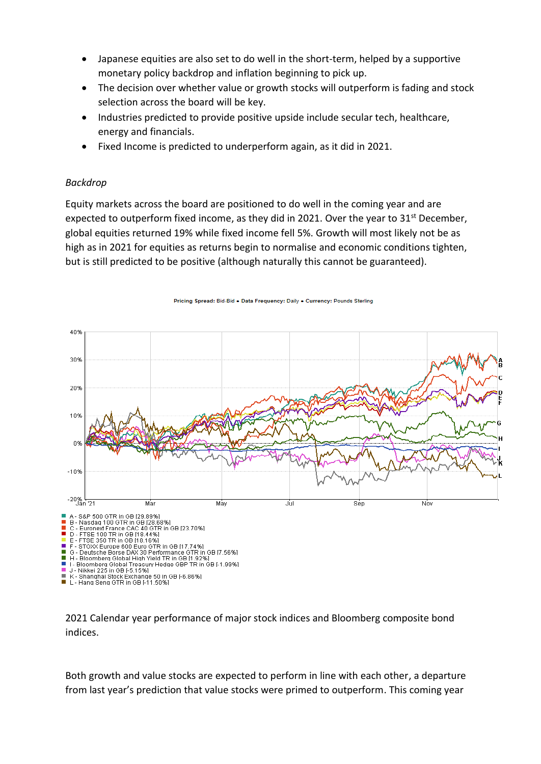- Japanese equities are also set to do well in the short-term, helped by a supportive monetary policy backdrop and inflation beginning to pick up.
- The decision over whether value or growth stocks will outperform is fading and stock selection across the board will be key.
- Industries predicted to provide positive upside include secular tech, healthcare, energy and financials.
- Fixed Income is predicted to underperform again, as it did in 2021.

### *Backdrop*

Equity markets across the board are positioned to do well in the coming year and are expected to outperform fixed income, as they did in 2021. Over the year to  $31^{st}$  December, global equities returned 19% while fixed income fell 5%. Growth will most likely not be as high as in 2021 for equities as returns begin to normalise and economic conditions tighten, but is still predicted to be positive (although naturally this cannot be guaranteed).



Pricing Spread: Bid-Bid . Data Frequency: Daily . Currency: Pounds Sterling

2021 Calendar year performance of major stock indices and Bloomberg composite bond indices.

Both growth and value stocks are expected to perform in line with each other, a departure from last year's prediction that value stocks were primed to outperform. This coming year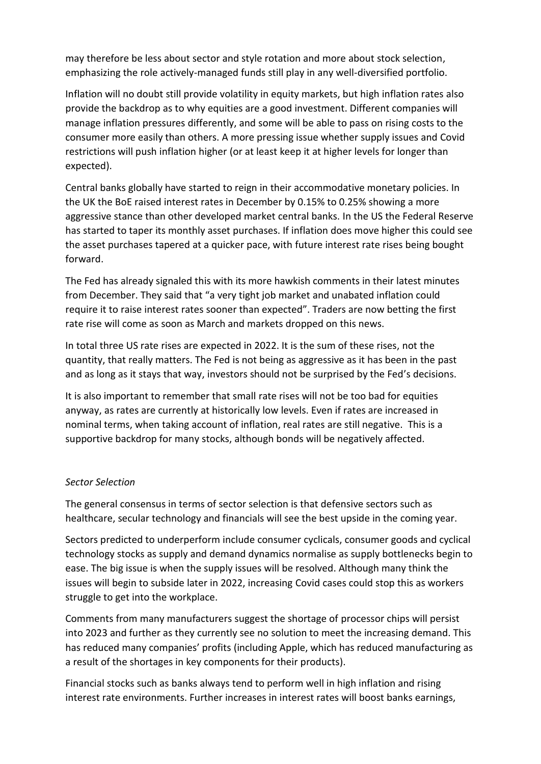may therefore be less about sector and style rotation and more about stock selection, emphasizing the role actively-managed funds still play in any well-diversified portfolio.

Inflation will no doubt still provide volatility in equity markets, but high inflation rates also provide the backdrop as to why equities are a good investment. Different companies will manage inflation pressures differently, and some will be able to pass on rising costs to the consumer more easily than others. A more pressing issue whether supply issues and Covid restrictions will push inflation higher (or at least keep it at higher levels for longer than expected).

Central banks globally have started to reign in their accommodative monetary policies. In the UK the BoE raised interest rates in December by 0.15% to 0.25% showing a more aggressive stance than other developed market central banks. In the US the Federal Reserve has started to taper its monthly asset purchases. If inflation does move higher this could see the asset purchases tapered at a quicker pace, with future interest rate rises being bought forward.

The Fed has already signaled this with its more hawkish comments in their latest minutes from December. They said that "a very tight job market and unabated inflation could require it to raise interest rates sooner than expected". Traders are now betting the first rate rise will come as soon as March and markets dropped on this news.

In total three US rate rises are expected in 2022. It is the sum of these rises, not the quantity, that really matters. The Fed is not being as aggressive as it has been in the past and as long as it stays that way, investors should not be surprised by the Fed's decisions.

It is also important to remember that small rate rises will not be too bad for equities anyway, as rates are currently at historically low levels. Even if rates are increased in nominal terms, when taking account of inflation, real rates are still negative. This is a supportive backdrop for many stocks, although bonds will be negatively affected.

### *Sector Selection*

The general consensus in terms of sector selection is that defensive sectors such as healthcare, secular technology and financials will see the best upside in the coming year.

Sectors predicted to underperform include consumer cyclicals, consumer goods and cyclical technology stocks as supply and demand dynamics normalise as supply bottlenecks begin to ease. The big issue is when the supply issues will be resolved. Although many think the issues will begin to subside later in 2022, increasing Covid cases could stop this as workers struggle to get into the workplace.

Comments from many manufacturers suggest the shortage of processor chips will persist into 2023 and further as they currently see no solution to meet the increasing demand. This has reduced many companies' profits (including Apple, which has reduced manufacturing as a result of the shortages in key components for their products).

Financial stocks such as banks always tend to perform well in high inflation and rising interest rate environments. Further increases in interest rates will boost banks earnings,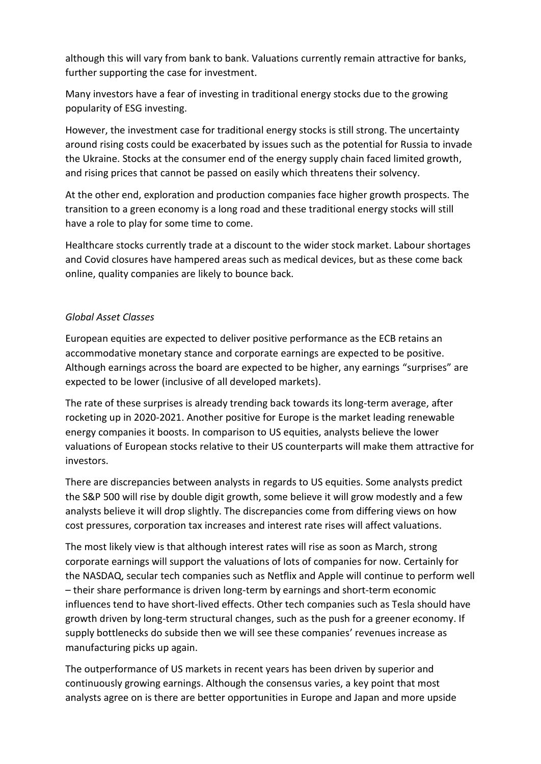although this will vary from bank to bank. Valuations currently remain attractive for banks, further supporting the case for investment.

Many investors have a fear of investing in traditional energy stocks due to the growing popularity of ESG investing.

However, the investment case for traditional energy stocks is still strong. The uncertainty around rising costs could be exacerbated by issues such as the potential for Russia to invade the Ukraine. Stocks at the consumer end of the energy supply chain faced limited growth, and rising prices that cannot be passed on easily which threatens their solvency.

At the other end, exploration and production companies face higher growth prospects. The transition to a green economy is a long road and these traditional energy stocks will still have a role to play for some time to come.

Healthcare stocks currently trade at a discount to the wider stock market. Labour shortages and Covid closures have hampered areas such as medical devices, but as these come back online, quality companies are likely to bounce back.

## *Global Asset Classes*

European equities are expected to deliver positive performance as the ECB retains an accommodative monetary stance and corporate earnings are expected to be positive. Although earnings across the board are expected to be higher, any earnings "surprises" are expected to be lower (inclusive of all developed markets).

The rate of these surprises is already trending back towards its long-term average, after rocketing up in 2020-2021. Another positive for Europe is the market leading renewable energy companies it boosts. In comparison to US equities, analysts believe the lower valuations of European stocks relative to their US counterparts will make them attractive for investors.

There are discrepancies between analysts in regards to US equities. Some analysts predict the S&P 500 will rise by double digit growth, some believe it will grow modestly and a few analysts believe it will drop slightly. The discrepancies come from differing views on how cost pressures, corporation tax increases and interest rate rises will affect valuations.

The most likely view is that although interest rates will rise as soon as March, strong corporate earnings will support the valuations of lots of companies for now. Certainly for the NASDAQ, secular tech companies such as Netflix and Apple will continue to perform well – their share performance is driven long-term by earnings and short-term economic influences tend to have short-lived effects. Other tech companies such as Tesla should have growth driven by long-term structural changes, such as the push for a greener economy. If supply bottlenecks do subside then we will see these companies' revenues increase as manufacturing picks up again.

The outperformance of US markets in recent years has been driven by superior and continuously growing earnings. Although the consensus varies, a key point that most analysts agree on is there are better opportunities in Europe and Japan and more upside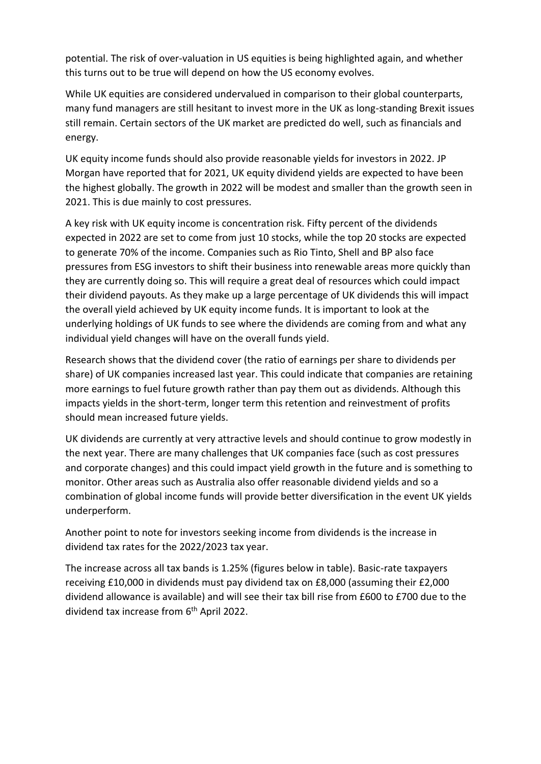potential. The risk of over-valuation in US equities is being highlighted again, and whether this turns out to be true will depend on how the US economy evolves.

While UK equities are considered undervalued in comparison to their global counterparts, many fund managers are still hesitant to invest more in the UK as long-standing Brexit issues still remain. Certain sectors of the UK market are predicted do well, such as financials and energy.

UK equity income funds should also provide reasonable yields for investors in 2022. JP Morgan have reported that for 2021, UK equity dividend yields are expected to have been the highest globally. The growth in 2022 will be modest and smaller than the growth seen in 2021. This is due mainly to cost pressures.

A key risk with UK equity income is concentration risk. Fifty percent of the dividends expected in 2022 are set to come from just 10 stocks, while the top 20 stocks are expected to generate 70% of the income. Companies such as Rio Tinto, Shell and BP also face pressures from ESG investors to shift their business into renewable areas more quickly than they are currently doing so. This will require a great deal of resources which could impact their dividend payouts. As they make up a large percentage of UK dividends this will impact the overall yield achieved by UK equity income funds. It is important to look at the underlying holdings of UK funds to see where the dividends are coming from and what any individual yield changes will have on the overall funds yield.

Research shows that the dividend cover (the ratio of earnings per share to dividends per share) of UK companies increased last year. This could indicate that companies are retaining more earnings to fuel future growth rather than pay them out as dividends. Although this impacts yields in the short-term, longer term this retention and reinvestment of profits should mean increased future yields.

UK dividends are currently at very attractive levels and should continue to grow modestly in the next year. There are many challenges that UK companies face (such as cost pressures and corporate changes) and this could impact yield growth in the future and is something to monitor. Other areas such as Australia also offer reasonable dividend yields and so a combination of global income funds will provide better diversification in the event UK yields underperform.

Another point to note for investors seeking income from dividends is the increase in dividend tax rates for the 2022/2023 tax year.

The increase across all tax bands is 1.25% (figures below in table). Basic-rate taxpayers receiving £10,000 in dividends must pay dividend tax on £8,000 (assuming their £2,000 dividend allowance is available) and will see their tax bill rise from £600 to £700 due to the dividend tax increase from 6<sup>th</sup> April 2022.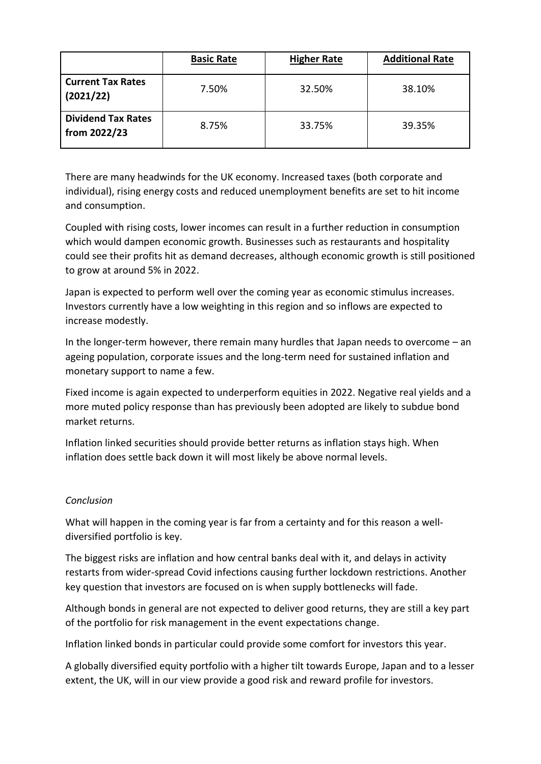|                                           | <b>Basic Rate</b> | <b>Higher Rate</b> | <b>Additional Rate</b> |
|-------------------------------------------|-------------------|--------------------|------------------------|
| <b>Current Tax Rates</b><br>(2021/22)     | 7.50%             | 32.50%             | 38.10%                 |
| <b>Dividend Tax Rates</b><br>from 2022/23 | 8.75%             | 33.75%             | 39.35%                 |

There are many headwinds for the UK economy. Increased taxes (both corporate and individual), rising energy costs and reduced unemployment benefits are set to hit income and consumption.

Coupled with rising costs, lower incomes can result in a further reduction in consumption which would dampen economic growth. Businesses such as restaurants and hospitality could see their profits hit as demand decreases, although economic growth is still positioned to grow at around 5% in 2022.

Japan is expected to perform well over the coming year as economic stimulus increases. Investors currently have a low weighting in this region and so inflows are expected to increase modestly.

In the longer-term however, there remain many hurdles that Japan needs to overcome – an ageing population, corporate issues and the long-term need for sustained inflation and monetary support to name a few.

Fixed income is again expected to underperform equities in 2022. Negative real yields and a more muted policy response than has previously been adopted are likely to subdue bond market returns.

Inflation linked securities should provide better returns as inflation stays high. When inflation does settle back down it will most likely be above normal levels.

# *Conclusion*

What will happen in the coming year is far from a certainty and for this reason a welldiversified portfolio is key.

The biggest risks are inflation and how central banks deal with it, and delays in activity restarts from wider-spread Covid infections causing further lockdown restrictions. Another key question that investors are focused on is when supply bottlenecks will fade.

Although bonds in general are not expected to deliver good returns, they are still a key part of the portfolio for risk management in the event expectations change.

Inflation linked bonds in particular could provide some comfort for investors this year.

A globally diversified equity portfolio with a higher tilt towards Europe, Japan and to a lesser extent, the UK, will in our view provide a good risk and reward profile for investors.